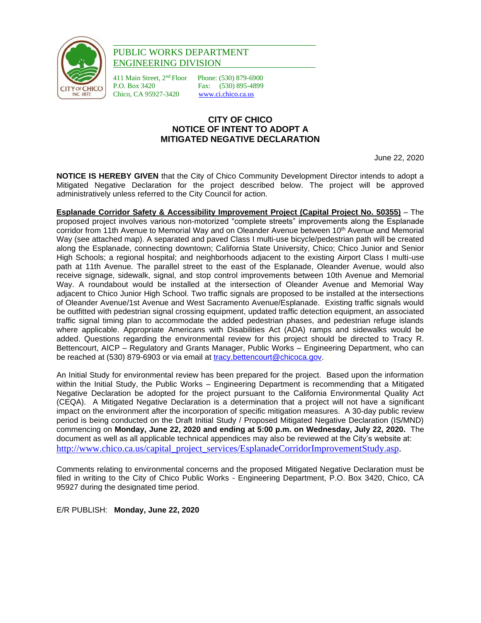

## \_\_\_\_\_\_\_\_\_\_\_\_\_\_\_\_\_\_\_\_\_\_\_\_\_\_\_\_\_\_\_\_\_\_\_\_\_\_\_\_\_\_\_ PUBLIC WORKS DEPARTMENT ENGINEERING DIVISION

411 Main Street, 2<sup>nd</sup> Floor Phone: (530) 879-6900<br>P.O. Box 3420 Fax: (530) 895-4899 P.O. Box 3420 Fax: (530) 895-4899 Chico, CA 95927-3420 www.ci.chico.ca.us

## **CITY OF CHICO NOTICE OF INTENT TO ADOPT A MITIGATED NEGATIVE DECLARATION**

June 22, 2020

**NOTICE IS HEREBY GIVEN** that the City of Chico Community Development Director intends to adopt a Mitigated Negative Declaration for the project described below. The project will be approved administratively unless referred to the City Council for action.

**Esplanade Corridor Safety & Accessibility Improvement Project (Capital Project No. 50355)** – The proposed project involves various non-motorized "complete streets" improvements along the Esplanade corridor from 11th Avenue to Memorial Way and on Oleander Avenue between 10<sup>th</sup> Avenue and Memorial Way (see attached map). A separated and paved Class I multi-use bicycle/pedestrian path will be created along the Esplanade, connecting downtown; California State University, Chico; Chico Junior and Senior High Schools; a regional hospital; and neighborhoods adjacent to the existing Airport Class I multi-use path at 11th Avenue. The parallel street to the east of the Esplanade, Oleander Avenue, would also receive signage, sidewalk, signal, and stop control improvements between 10th Avenue and Memorial Way. A roundabout would be installed at the intersection of Oleander Avenue and Memorial Way adjacent to Chico Junior High School. Two traffic signals are proposed to be installed at the intersections of Oleander Avenue/1st Avenue and West Sacramento Avenue/Esplanade. Existing traffic signals would be outfitted with pedestrian signal crossing equipment, updated traffic detection equipment, an associated traffic signal timing plan to accommodate the added pedestrian phases, and pedestrian refuge islands where applicable. Appropriate Americans with Disabilities Act (ADA) ramps and sidewalks would be added. Questions regarding the environmental review for this project should be directed to Tracy R. Bettencourt, AICP – Regulatory and Grants Manager, Public Works – Engineering Department, who can be reached at (530) 879-6903 or via email at [tracy.bettencourt@chicoca.gov.](mailto:tracy.bettencourt@chicoca.gov)

An Initial Study for environmental review has been prepared for the project. Based upon the information within the Initial Study, the Public Works – Engineering Department is recommending that a Mitigated Negative Declaration be adopted for the project pursuant to the California Environmental Quality Act (CEQA). A Mitigated Negative Declaration is a determination that a project will not have a significant impact on the environment after the incorporation of specific mitigation measures. A 30-day public review period is being conducted on the Draft Initial Study / Proposed Mitigated Negative Declaration (IS/MND) commencing on **Monday, June 22, 2020 and ending at 5:00 p.m. on Wednesday, July 22, 2020.** The document as well as all applicable technical appendices may also be reviewed at the City's website at: [http://www.chico.ca.us/capital\\_project\\_services/EsplanadeCorridorImprovementStudy.asp.](http://www.chico.ca.us/capital_project_services/EsplanadeCorridorImprovementStudy.asp)

Comments relating to environmental concerns and the proposed Mitigated Negative Declaration must be filed in writing to the City of Chico Public Works - Engineering Department, P.O. Box 3420, Chico, CA 95927 during the designated time period.

E/R PUBLISH: **Monday, June 22, 2020**